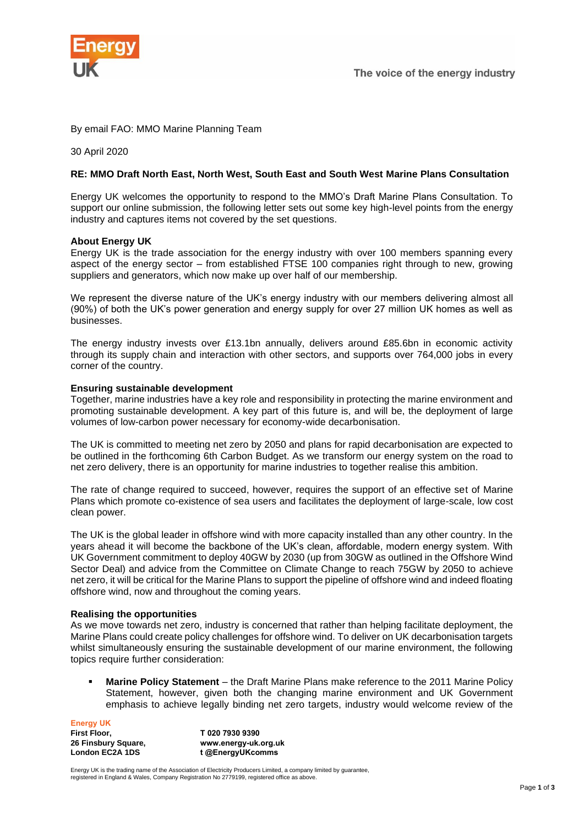

## By email FAO: MMO Marine Planning Team

30 April 2020

# **RE: MMO Draft North East, North West, South East and South West Marine Plans Consultation**

Energy UK welcomes the opportunity to respond to the MMO's Draft Marine Plans Consultation. To support our online submission, the following letter sets out some key high-level points from the energy industry and captures items not covered by the set questions.

### **About Energy UK**

Energy UK is the trade association for the energy industry with over 100 members spanning every aspect of the energy sector – from established FTSE 100 companies right through to new, growing suppliers and generators, which now make up over half of our membership.

We represent the diverse nature of the UK's energy industry with our members delivering almost all (90%) of both the UK's power generation and energy supply for over 27 million UK homes as well as businesses.

The energy industry invests over £13.1bn annually, delivers around £85.6bn in economic activity through its supply chain and interaction with other sectors, and supports over 764,000 jobs in every corner of the country.

### **Ensuring sustainable development**

Together, marine industries have a key role and responsibility in protecting the marine environment and promoting sustainable development. A key part of this future is, and will be, the deployment of large volumes of low-carbon power necessary for economy-wide decarbonisation.

The UK is committed to meeting net zero by 2050 and plans for rapid decarbonisation are expected to be outlined in the forthcoming 6th Carbon Budget. As we transform our energy system on the road to net zero delivery, there is an opportunity for marine industries to together realise this ambition.

The rate of change required to succeed, however, requires the support of an effective set of Marine Plans which promote co-existence of sea users and facilitates the deployment of large-scale, low cost clean power.

The UK is the global leader in offshore wind with more capacity installed than any other country. In the years ahead it will become the backbone of the UK's clean, affordable, modern energy system. With UK Government commitment to deploy 40GW by 2030 (up from 30GW as outlined in the Offshore Wind Sector Deal) and advice from the Committee on Climate Change to reach 75GW by 2050 to achieve net zero, it will be critical for the Marine Plans to support the pipeline of offshore wind and indeed floating offshore wind, now and throughout the coming years.

### **Realising the opportunities**

As we move towards net zero, industry is concerned that rather than helping facilitate deployment, the Marine Plans could create policy challenges for offshore wind. To deliver on UK decarbonisation targets whilst simultaneously ensuring the sustainable development of our marine environment, the following topics require further consideration:

**Marine Policy Statement** – the Draft Marine Plans make reference to the 2011 Marine Policy Statement, however, given both the changing marine environment and UK Government emphasis to achieve legally binding net zero targets, industry would welcome review of the

**Energy UK First Floor, 26 Finsbury Square, London EC2A 1DS T 020 7930 9390 www.energy-uk.org.uk t @EnergyUKcomms**

Energy UK is the trading name of the Association of Electricity Producers Limited, a company limited by guarantee, registered in England & Wales, Company Registration No 2779199, registered office as above.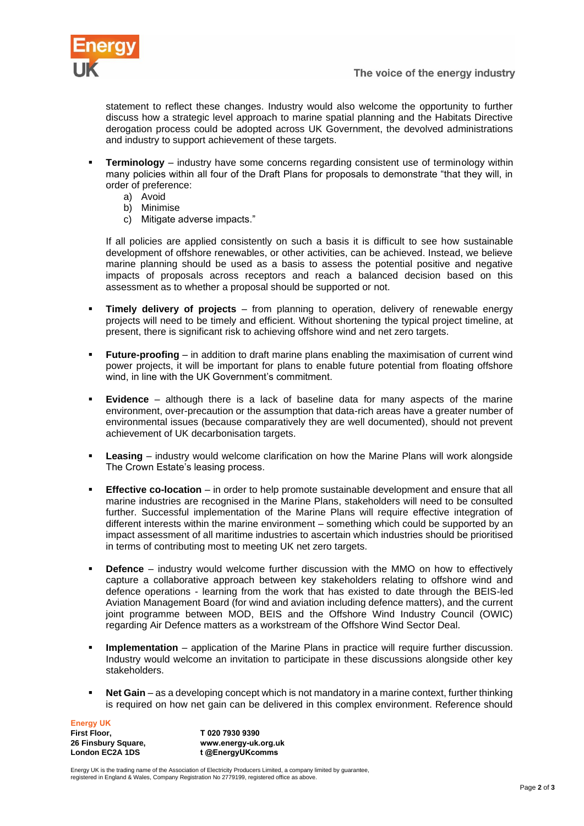

statement to reflect these changes. Industry would also welcome the opportunity to further discuss how a strategic level approach to marine spatial planning and the Habitats Directive derogation process could be adopted across UK Government, the devolved administrations and industry to support achievement of these targets.

- **Terminology** industry have some concerns regarding consistent use of terminology within many policies within all four of the Draft Plans for proposals to demonstrate "that they will, in order of preference:
	- a) Avoid
	- b) Minimise
	- c) Mitigate adverse impacts."

If all policies are applied consistently on such a basis it is difficult to see how sustainable development of offshore renewables, or other activities, can be achieved. Instead, we believe marine planning should be used as a basis to assess the potential positive and negative impacts of proposals across receptors and reach a balanced decision based on this assessment as to whether a proposal should be supported or not.

- **Timely delivery of projects** from planning to operation, delivery of renewable energy projects will need to be timely and efficient. Without shortening the typical project timeline, at present, there is significant risk to achieving offshore wind and net zero targets.
- **Future-proofing**  in addition to draft marine plans enabling the maximisation of current wind power projects, it will be important for plans to enable future potential from floating offshore wind, in line with the UK Government's commitment.
- **Evidence** although there is a lack of baseline data for many aspects of the marine environment, over-precaution or the assumption that data-rich areas have a greater number of environmental issues (because comparatively they are well documented), should not prevent achievement of UK decarbonisation targets.
- **Leasing** industry would welcome clarification on how the Marine Plans will work alongside The Crown Estate's leasing process.
- **Effective co-location** in order to help promote sustainable development and ensure that all marine industries are recognised in the Marine Plans, stakeholders will need to be consulted further. Successful implementation of the Marine Plans will require effective integration of different interests within the marine environment – something which could be supported by an impact assessment of all maritime industries to ascertain which industries should be prioritised in terms of contributing most to meeting UK net zero targets.
- **• Defence** industry would welcome further discussion with the MMO on how to effectively capture a collaborative approach between key stakeholders relating to offshore wind and defence operations - learning from the work that has existed to date through the BEIS-led Aviation Management Board (for wind and aviation including defence matters), and the current joint programme between MOD, BEIS and the Offshore Wind Industry Council (OWIC) regarding Air Defence matters as a workstream of the Offshore Wind Sector Deal*.*
- **Implementation** application of the Marine Plans in practice will require further discussion. Industry would welcome an invitation to participate in these discussions alongside other key stakeholders.
- **Net Gain** as a developing concept which is not mandatory in a marine context, further thinking is required on how net gain can be delivered in this complex environment. Reference should

**Energy UK First Floor, 26 Finsbury Square, London EC2A 1DS**

**T 020 7930 9390 www.energy-uk.org.uk t @EnergyUKcomms**

Energy UK is the trading name of the Association of Electricity Producers Limited, a company limited by guarantee, registered in England & Wales, Company Registration No 2779199, registered office as above.